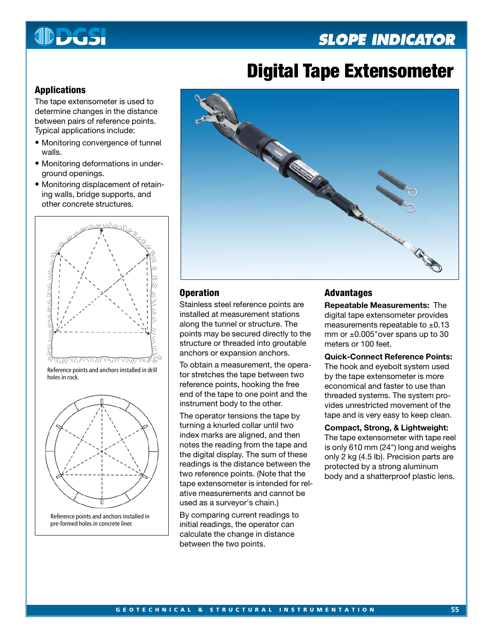## **SLOPE INDICATOR**



# **Digital Tape Extensometer**

## **Applications**

The tape extensometer is used to determine changes in the distance between pairs of reference points. Typical applications include:

- Monitoring convergence of tunnel walls.
- Monitoring deformations in underground openings.
- Monitoring displacement of retaining walls, bridge supports, and other concrete structures.



Reference points and anchors installed in drill holes in rock.



Reference points and anchors installed in pre-formed holes in concrete liner.



## **Operation**

Stainless steel reference points are installed at measurement stations along the tunnel or structure. The points may be secured directly to the structure or threaded into groutable anchors or expansion anchors.

To obtain a measurement, the operator stretches the tape between two reference points, hooking the free end of the tape to one point and the instrument body to the other.

The operator tensions the tape by turning a knurled collar until two index marks are aligned, and then notes the reading from the tape and the digital display. The sum of these readings is the distance between the two reference points. (Note that the tape extensometer is intended for relative measurements and cannot be used as a surveyor's chain.)

By comparing current readings to initial readings, the operator can calculate the change in distance between the two points.

## **Advantages**

**Repeatable Measurements:** The digital tape extensometer provides measurements repeatable to  $\pm 0.13$ mm or  $\pm 0.005$ "over spans up to 30 meters or 100 feet.

**Quick-Connect Reference Points:** The hook and eyebolt system used by the tape extensometer is more economical and faster to use than threaded systems. The system provides unrestricted movement of the tape and is very easy to keep clean.

**Compact, Strong, & Lightweight:** The tape extensometer with tape reel is only 610 mm (24") long and weighs only 2 kg (4.5 lb). Precision parts are protected by a strong aluminum body and a shatterproof plastic lens.